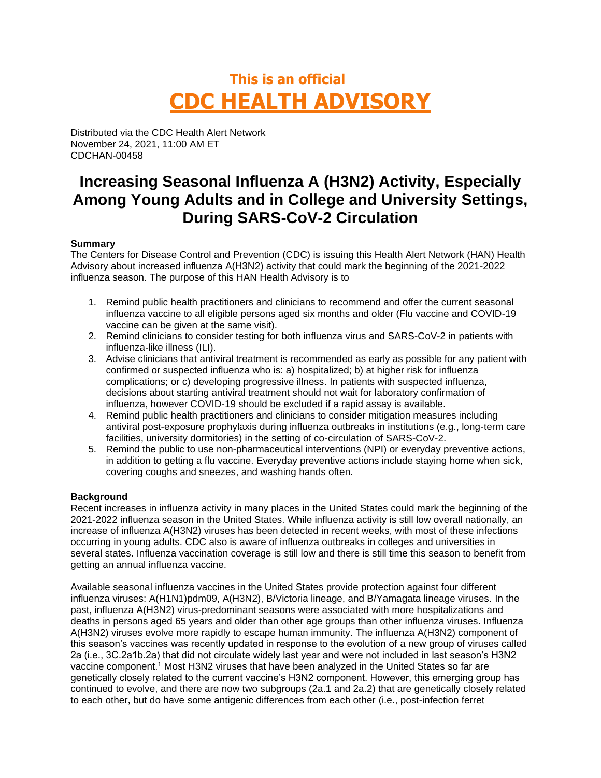# **This is an official CDC HEALTH ADVISORY**

Distributed via the CDC Health Alert Network November 24, 2021, 11:00 AM ET CDCHAN-00458

# **Increasing Seasonal Influenza A (H3N2) Activity, Especially Among Young Adults and in College and University Settings, During SARS-CoV-2 Circulation**

# **Summary**

The Centers for Disease Control and Prevention (CDC) is issuing this Health Alert Network (HAN) Health Advisory about increased influenza A(H3N2) activity that could mark the beginning of the 2021-2022 influenza season. The purpose of this HAN Health Advisory is to

- 1. Remind public health practitioners and clinicians to recommend and offer the current seasonal influenza vaccine to all eligible persons aged six months and older (Flu vaccine and COVID-19 vaccine can be given at the same visit).
- 2. Remind clinicians to consider testing for both influenza virus and SARS-CoV-2 in patients with influenza-like illness (ILI).
- 3. Advise clinicians that antiviral treatment is recommended as early as possible for any patient with confirmed or suspected influenza who is: a) hospitalized; b) at higher risk for influenza complications; or c) developing progressive illness. In patients with suspected influenza, decisions about starting antiviral treatment should not wait for laboratory confirmation of influenza, however COVID-19 should be excluded if a rapid assay is available.
- 4. Remind public health practitioners and clinicians to consider mitigation measures including antiviral post-exposure prophylaxis during influenza outbreaks in institutions (e.g., long-term care facilities, university dormitories) in the setting of co-circulation of SARS-CoV-2.
- 5. Remind the public to use non-pharmaceutical interventions (NPI) or everyday preventive actions, in addition to getting a flu vaccine. Everyday preventive actions include staying home when sick, covering coughs and sneezes, and washing hands often.

#### **Background**

Recent increases in influenza activity in many places in the United States could mark the beginning of the 2021-2022 influenza season in the United States. While influenza activity is still low overall nationally, an increase of influenza A(H3N2) viruses has been detected in recent weeks, with most of these infections occurring in young adults. CDC also is aware of influenza outbreaks in colleges and universities in several states. Influenza vaccination coverage is still low and there is still time this season to benefit from getting an annual influenza vaccine.

Available seasonal influenza vaccines in the United States provide protection against four different influenza viruses: A(H1N1)pdm09, A(H3N2), B/Victoria lineage, and B/Yamagata lineage viruses. In the past, influenza A(H3N2) virus-predominant seasons were associated with more hospitalizations and deaths in persons aged 65 years and older than other age groups than other influenza viruses. Influenza A(H3N2) viruses evolve more rapidly to escape human immunity. The influenza A(H3N2) component of this season's vaccines was recently updated in response to the evolution of a new group of viruses called 2a (i.e., 3C.2a1b.2a) that did not circulate widely last year and were not included in last season's H3N2 vaccine component. <sup>1</sup> Most H3N2 viruses that have been analyzed in the United States so far are genetically closely related to the current vaccine's H3N2 component. However, this emerging group has continued to evolve, and there are now two subgroups (2a.1 and 2a.2) that are genetically closely related to each other, but do have some antigenic differences from each other (i.e., post-infection ferret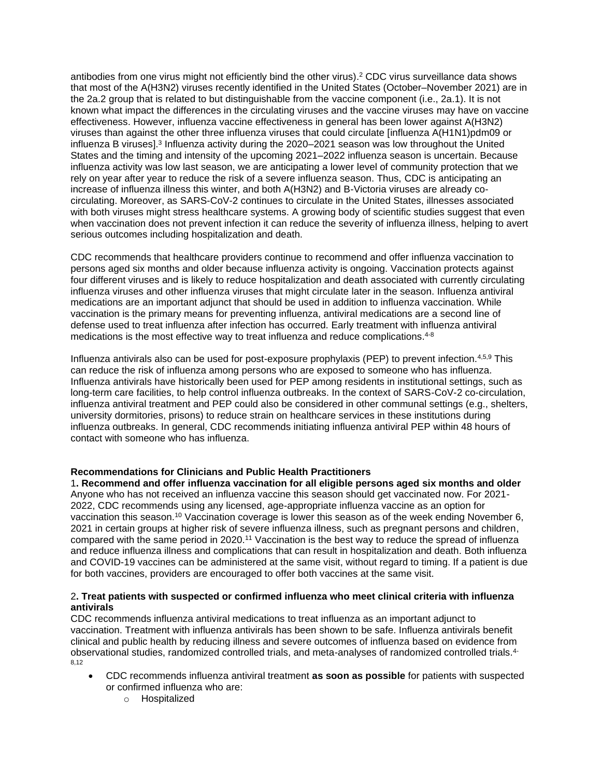antibodies from one virus might not efficiently bind the other virus). <sup>2</sup> CDC virus surveillance data shows that most of the A(H3N2) viruses recently identified in the United States (October–November 2021) are in the 2a.2 group that is related to but distinguishable from the vaccine component (i.e., 2a.1). It is not known what impact the differences in the circulating viruses and the vaccine viruses may have on vaccine effectiveness. However, influenza vaccine effectiveness in general has been lower against A(H3N2) viruses than against the other three influenza viruses that could circulate [influenza A(H1N1)pdm09 or influenza B viruses].<sup>3</sup> Influenza activity during the 2020–2021 season was low throughout the United States and the timing and intensity of the upcoming 2021–2022 influenza season is uncertain. Because influenza activity was low last season, we are anticipating a lower level of community protection that we rely on year after year to reduce the risk of a severe influenza season. Thus, CDC is anticipating an increase of influenza illness this winter, and both A(H3N2) and B-Victoria viruses are already cocirculating. Moreover, as SARS-CoV-2 continues to circulate in the United States, illnesses associated with both viruses might stress healthcare systems. A growing body of scientific studies suggest that even when vaccination does not prevent infection it can reduce the severity of influenza illness, helping to avert serious outcomes including hospitalization and death.

CDC recommends that healthcare providers continue to recommend and offer influenza vaccination to persons aged six months and older because influenza activity is ongoing. Vaccination protects against four different viruses and is likely to reduce hospitalization and death associated with currently circulating influenza viruses and other influenza viruses that might circulate later in the season. Influenza antiviral medications are an important adjunct that should be used in addition to influenza vaccination. While vaccination is the primary means for preventing influenza, antiviral medications are a second line of defense used to treat influenza after infection has occurred. Early treatment with influenza antiviral medications is the most effective way to treat influenza and reduce complications.<sup>4-8</sup>

Influenza antivirals also can be used for post-exposure prophylaxis (PEP) to prevent infection.<sup>4,5,9</sup> This can reduce the risk of influenza among persons who are exposed to someone who has influenza. Influenza antivirals have historically been used for PEP among residents in institutional settings, such as long-term care facilities, to help control influenza outbreaks. In the context of SARS-CoV-2 co-circulation, influenza antiviral treatment and PEP could also be considered in other communal settings (e.g., shelters, university dormitories, prisons) to reduce strain on healthcare services in these institutions during influenza outbreaks. In general, CDC recommends initiating influenza antiviral PEP within 48 hours of contact with someone who has influenza.

# **Recommendations for Clinicians and Public Health Practitioners**

1**. Recommend and offer influenza vaccination for all eligible persons aged six months and older** Anyone who has not received an influenza vaccine this season should get vaccinated now. For 2021- 2022, CDC recommends using any licensed, age-appropriate influenza vaccine as an option for vaccination this season.<sup>10</sup> Vaccination coverage is lower this season as of the week ending November 6, 2021 in certain groups at higher risk of severe influenza illness, such as pregnant persons and children, compared with the same period in 2020.<sup>11</sup> Vaccination is the best way to reduce the spread of influenza and reduce influenza illness and complications that can result in hospitalization and death. Both influenza and COVID-19 vaccines can be administered at the same visit, without regard to timing. If a patient is due for both vaccines, providers are encouraged to offer both vaccines at the same visit.

#### 2**. Treat patients with suspected or confirmed influenza who meet clinical criteria with influenza antivirals**

CDC recommends influenza antiviral medications to treat influenza as an important adjunct to vaccination. Treatment with influenza antivirals has been shown to be safe. Influenza antivirals benefit clinical and public health by reducing illness and severe outcomes of influenza based on evidence from observational studies, randomized controlled trials, and meta-analyses of randomized controlled trials.4- 8,12

- CDC recommends influenza antiviral treatment **as soon as possible** for patients with suspected or confirmed influenza who are:
	- o Hospitalized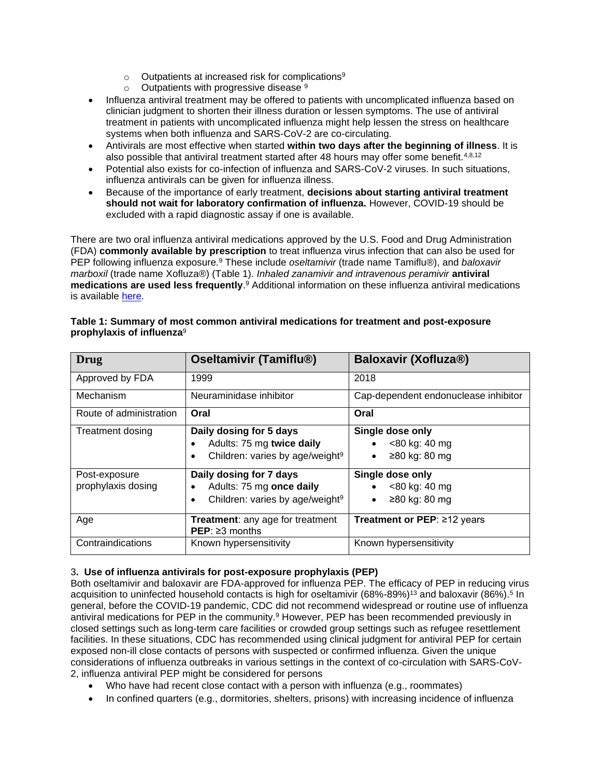- o Outpatients at increased risk for complications<sup>9</sup>
- $\circ$  Outpatients with progressive disease  $9$
- Influenza antiviral treatment may be offered to patients with uncomplicated influenza based on clinician judgment to shorten their illness duration or lessen symptoms. The use of antiviral treatment in patients with uncomplicated influenza might help lessen the stress on healthcare systems when both influenza and SARS-CoV-2 are co-circulating.
- Antivirals are most effective when started **within two days after the beginning of illness**. It is also possible that antiviral treatment started after 48 hours may offer some benefit.4,8,12
- Potential also exists for co-infection of influenza and SARS-CoV-2 viruses. In such situations, influenza antivirals can be given for influenza illness.
- Because of the importance of early treatment, **decisions about starting antiviral treatment should not wait for laboratory confirmation of influenza.** However, COVID-19 should be excluded with a rapid diagnostic assay if one is available.

There are two oral influenza antiviral medications approved by the U.S. Food and Drug Administration (FDA) **commonly available by prescription** to treat influenza virus infection that can also be used for PEP following influenza exposure*.* <sup>9</sup> These include *oseltamivir* (trade name Tamiflu®), and *baloxavir marboxil* (trade name Xofluza®) (Table 1). *Inhaled zanamivir and intravenous peramivir* **antiviral medications are used less frequently**. <sup>9</sup> Additional information on these influenza antiviral medications is available [here.](https://www.cdc.gov/flu/professionals/antivirals/summary-clinicians.htm)

| Drug                                | <b>Oseltamivir (Tamiflu®)</b>                                                                       | Baloxavir (Xofluza®)                               |
|-------------------------------------|-----------------------------------------------------------------------------------------------------|----------------------------------------------------|
| Approved by FDA                     | 1999                                                                                                | 2018                                               |
| Mechanism                           | Neuraminidase inhibitor                                                                             | Cap-dependent endonuclease inhibitor               |
| Route of administration             | Oral                                                                                                | Oral                                               |
| <b>Treatment dosing</b>             | Daily dosing for 5 days<br>Adults: 75 mg twice daily<br>Children: varies by age/weight <sup>9</sup> | Single dose only<br><80 kg: 40 mg<br>≥80 kg: 80 mg |
| Post-exposure<br>prophylaxis dosing | Daily dosing for 7 days<br>Adults: 75 mg once daily<br>Children: varies by age/weight <sup>9</sup>  | Single dose only<br><80 kg: 40 mg<br>≥80 kg: 80 mg |
| Age                                 | Treatment: any age for treatment<br>$PEP: \geq 3$ months                                            | Treatment or PEP: $\geq$ 12 years                  |
| Contraindications                   | Known hypersensitivity                                                                              | Known hypersensitivity                             |

#### **Table 1: Summary of most common antiviral medications for treatment and post-exposure prophylaxis of influenza**<sup>9</sup>

# 3**. Use of influenza antivirals for post-exposure prophylaxis (PEP)**

Both oseltamivir and baloxavir are FDA-approved for influenza PEP. The efficacy of PEP in reducing virus acquisition to uninfected household contacts is high for oseltamivir (68%-89%)<sup>13</sup> and baloxavir (86%).<sup>5</sup> In general, before the COVID-19 pandemic, CDC did not recommend widespread or routine use of influenza antiviral medications for PEP in the community.<sup>9</sup> However, PEP has been recommended previously in closed settings such as long-term care facilities or crowded group settings such as refugee resettlement facilities. In these situations, CDC has recommended using clinical judgment for antiviral PEP for certain exposed non-ill close contacts of persons with suspected or confirmed influenza. Given the unique considerations of influenza outbreaks in various settings in the context of co-circulation with SARS-CoV-2, influenza antiviral PEP might be considered for persons

- Who have had recent close contact with a person with influenza (e.g., roommates)
- In confined quarters (e.g., dormitories, shelters, prisons) with increasing incidence of influenza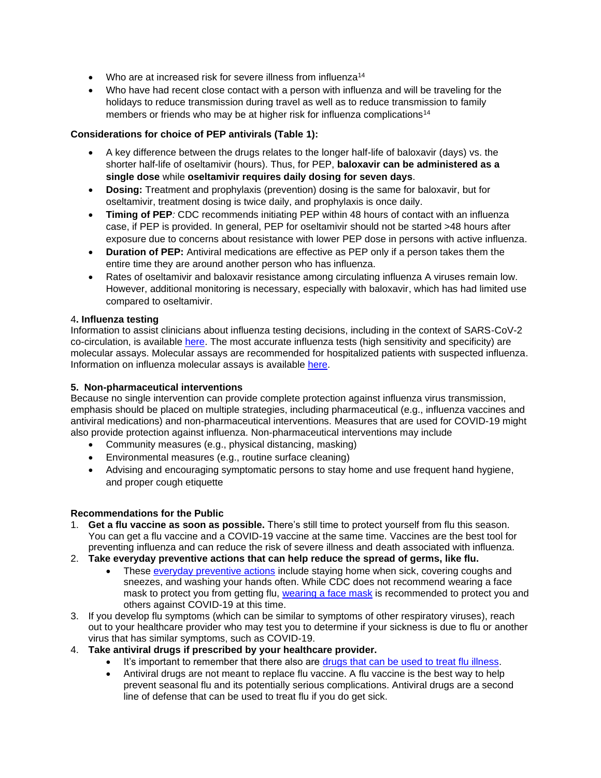- Who are at increased risk for severe illness from influenza<sup>14</sup>
- Who have had recent close contact with a person with influenza and will be traveling for the holidays to reduce transmission during travel as well as to reduce transmission to family members or friends who may be at higher risk for influenza complications<sup>14</sup>

# **Considerations for choice of PEP antivirals (Table 1):**

- A key difference between the drugs relates to the longer half-life of baloxavir (days) vs. the shorter half-life of oseltamivir (hours). Thus, for PEP, **baloxavir can be administered as a single dose** while **oseltamivir requires daily dosing for seven days**.
- **Dosing:** Treatment and prophylaxis (prevention) dosing is the same for baloxavir, but for oseltamivir, treatment dosing is twice daily, and prophylaxis is once daily.
- **Timing of PEP***:* CDC recommends initiating PEP within 48 hours of contact with an influenza case, if PEP is provided. In general, PEP for oseltamivir should not be started >48 hours after exposure due to concerns about resistance with lower PEP dose in persons with active influenza.
- **Duration of PEP:** Antiviral medications are effective as PEP only if a person takes them the entire time they are around another person who has influenza.
- Rates of oseltamivir and baloxavir resistance among circulating influenza A viruses remain low. However, additional monitoring is necessary, especially with baloxavir, which has had limited use compared to oseltamivir.

#### 4**. Influenza testing**

Information to assist clinicians about influenza testing decisions, including in the context of SARS-CoV-2 co-circulation, is available [here.](https://www.cdc.gov/flu/professionals/diagnosis/index.htm) The most accurate influenza tests (high sensitivity and specificity) are molecular assays. Molecular assays are recommended for hospitalized patients with suspected influenza. Information on influenza molecular assays is available [here.](https://www.cdc.gov/flu/professionals/diagnosis/testing-guidance-for-clinicians-hospitaized.htm)

# **5. Non-pharmaceutical interventions**

Because no single intervention can provide complete protection against influenza virus transmission, emphasis should be placed on multiple strategies, including pharmaceutical (e.g., influenza vaccines and antiviral medications) and non-pharmaceutical interventions. Measures that are used for COVID-19 might also provide protection against influenza. Non-pharmaceutical interventions may include

- Community measures (e.g., physical distancing, masking)
- Environmental measures (e.g., routine surface cleaning)
- Advising and encouraging symptomatic persons to stay home and use [frequent hand hygiene,](https://www.cdc.gov/flu/prevent/actions-prevent-flu.htm) [and proper cough etiquette](https://www.cdc.gov/flu/prevent/actions-prevent-flu.htm)

# **Recommendations for the Public**

- 1. **Get a flu vaccine as soon as possible.** There's still time to protect yourself from flu this season. You can get a flu vaccine and a COVID-19 vaccine at the same time. Vaccines are the best tool for preventing influenza and can reduce the risk of severe illness and death associated with influenza.
- 2. **Take everyday preventive actions that can help reduce the spread of germs, like flu.**
	- These [everyday preventive actions](https://www.cdc.gov/flu/prevent/prevention.htm) include staying home when sick, covering coughs and sneezes, and washing your hands often. While CDC does not recommend wearing a face mask to protect you from getting flu, [wearing a face mask](https://www.cdc.gov/coronavirus/2019-ncov/prevent-getting-sick/about-face-coverings.html) is recommended to protect you and others against COVID-19 at this time.
- 3. If you develop flu symptoms (which can be similar to symptoms of other respiratory viruses), reach out to your healthcare provider who may test you to determine if your sickness is due to flu or another virus that has similar symptoms, such as COVID-19.
- 4. **Take antiviral drugs if prescribed by your healthcare provider.**
	- It's important to remember that there also are [drugs that can be used to](https://www.cdc.gov/flu/treatment/index.html) treat flu illness.
	- Antiviral drugs are not meant to replace flu vaccine. A flu vaccine is the best way to help prevent seasonal flu and its potentially serious complications. Antiviral drugs are a second line of defense that can be used to treat flu if you do get sick.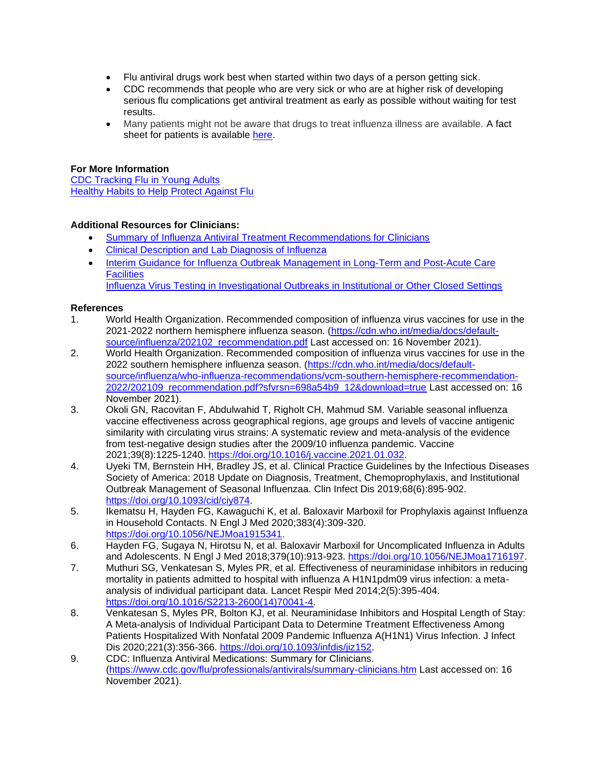- Flu antiviral drugs work best when started within two days of a person getting sick.
- CDC recommends that people who are very sick or who are at higher risk of developing serious flu complications get antiviral treatment as early as possible without waiting for test results.
- Many patients might not be aware that drugs to treat influenza illness are available. A fact sheet for patients is available [here.](https://www.cdc.gov/flu/treatment/whatyoushould.htm)

# **For More Information**

[CDC Tracking Flu in Young Adults](https://www.cdc.gov/flu/spotlights/2021-2022/flu-tracking-young-adults.htm) [Healthy Habits to Help Protect Against Flu](https://www.cdc.gov/flu/prevent/actions-prevent-flu.htm)

# **Additional Resources for Clinicians:**

- [Summary of Influenza Antiviral Treatment Recommendations for Clinicians](http://www.cdc.gov/flu/professionals/antivirals/summary-clinicians.htm)
- [Clinical Description and Lab Diagnosis of Influenza](http://www.cdc.gov/flu/professionals/diagnosis/index.htm)
- [Interim Guidance for Influenza Outbreak Management in Long-Term and Post-Acute Care](http://www.cdc.gov/flu/professionals/infectioncontrol/ltc-facility-guidance.htm)  **[Facilities](http://www.cdc.gov/flu/professionals/infectioncontrol/ltc-facility-guidance.htm)**

[Influenza Virus Testing in Investigational Outbreaks in Institutional or Other Closed Settings](https://www.cdc.gov/flu/professionals/diagnosis/guide-virus-diagnostic-tests.htm)

#### **References**

- 1. World Health Organization. Recommended composition of influenza virus vaccines for use in the 2021-2022 northern hemisphere influenza season. [\(https://cdn.who.int/media/docs/default](https://cdn.who.int/media/docs/default-source/influenza/202102_recommendation.pdf)[source/influenza/202102\\_recommendation.pdf](https://cdn.who.int/media/docs/default-source/influenza/202102_recommendation.pdf) Last accessed on: 16 November 2021).
- 2. World Health Organization. Recommended composition of influenza virus vaccines for use in the 2022 southern hemisphere influenza season. [\(https://cdn.who.int/media/docs/default](https://cdn.who.int/media/docs/default-source/influenza/who-influenza-recommendations/vcm-southern-hemisphere-recommendation-2022/202109_recommendation.pdf?sfvrsn=698a54b9_12&download=true)[source/influenza/who-influenza-recommendations/vcm-southern-hemisphere-recommendation-](https://cdn.who.int/media/docs/default-source/influenza/who-influenza-recommendations/vcm-southern-hemisphere-recommendation-2022/202109_recommendation.pdf?sfvrsn=698a54b9_12&download=true)[2022/202109\\_recommendation.pdf?sfvrsn=698a54b9\\_12&download=true](https://cdn.who.int/media/docs/default-source/influenza/who-influenza-recommendations/vcm-southern-hemisphere-recommendation-2022/202109_recommendation.pdf?sfvrsn=698a54b9_12&download=true) Last accessed on: 16 November 2021).
- 3. Okoli GN, Racovitan F, Abdulwahid T, Righolt CH, Mahmud SM. Variable seasonal influenza vaccine effectiveness across geographical regions, age groups and levels of vaccine antigenic similarity with circulating virus strains: A systematic review and meta-analysis of the evidence from test-negative design studies after the 2009/10 influenza pandemic. Vaccine 2021;39(8):1225-1240. [https://doi.org/10.1016/j.vaccine.2021.01.032.](https://doi.org/10.1016/j.vaccine.2021.01.032)
- 4. Uyeki TM, Bernstein HH, Bradley JS, et al. Clinical Practice Guidelines by the Infectious Diseases Society of America: 2018 Update on Diagnosis, Treatment, Chemoprophylaxis, and Institutional Outbreak Management of Seasonal Influenzaa. Clin Infect Dis 2019;68(6):895-902. [https://doi.org/10.1093/cid/ciy874.](https://doi.org/10.1093/cid/ciy874)
- 5. Ikematsu H, Hayden FG, Kawaguchi K, et al. Baloxavir Marboxil for Prophylaxis against Influenza in Household Contacts. N Engl J Med 2020;383(4):309-320. [https://doi.org/10.1056/NEJMoa1915341.](https://doi.org/10.1056/NEJMoa1915341)
- 6. Hayden FG, Sugaya N, Hirotsu N, et al. Baloxavir Marboxil for Uncomplicated Influenza in Adults and Adolescents. N Engl J Med 2018;379(10):913-923. [https://doi.org/10.1056/NEJMoa1716197.](https://doi.org/10.1056/NEJMoa1716197)
- 7. Muthuri SG, Venkatesan S, Myles PR, et al. Effectiveness of neuraminidase inhibitors in reducing mortality in patients admitted to hospital with influenza A H1N1pdm09 virus infection: a metaanalysis of individual participant data. Lancet Respir Med 2014;2(5):395-404. [https://doi.org/10.1016/S2213-2600\(14\)70041-4.](https://doi.org/10.1016/S2213-2600(14)70041-4)
- 8. Venkatesan S, Myles PR, Bolton KJ, et al. Neuraminidase Inhibitors and Hospital Length of Stay: A Meta-analysis of Individual Participant Data to Determine Treatment Effectiveness Among Patients Hospitalized With Nonfatal 2009 Pandemic Influenza A(H1N1) Virus Infection. J Infect Dis 2020;221(3):356-366. [https://doi.org/10.1093/infdis/jiz152.](https://doi.org/10.1093/infdis/jiz152)
- 9. CDC: Influenza Antiviral Medications: Summary for Clinicians. [\(https://www.cdc.gov/flu/professionals/antivirals/summary-clinicians.htm](https://www.cdc.gov/flu/professionals/antivirals/summary-clinicians.htm) Last accessed on: 16 November 2021).